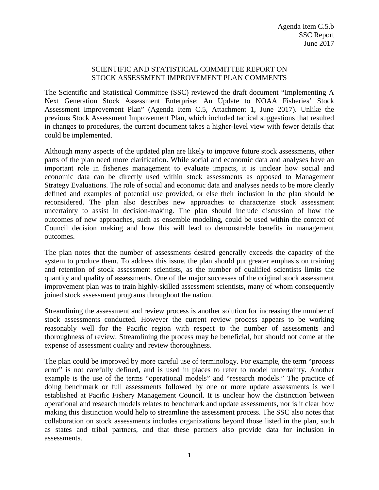## SCIENTIFIC AND STATISTICAL COMMITTEE REPORT ON STOCK ASSESSMENT IMPROVEMENT PLAN COMMENTS

The Scientific and Statistical Committee (SSC) reviewed the draft document "Implementing A Next Generation Stock Assessment Enterprise: An Update to NOAA Fisheries' Stock Assessment Improvement Plan" (Agenda Item C.5, Attachment 1, June 2017). Unlike the previous Stock Assessment Improvement Plan, which included tactical suggestions that resulted in changes to procedures, the current document takes a higher-level view with fewer details that could be implemented.

Although many aspects of the updated plan are likely to improve future stock assessments, other parts of the plan need more clarification. While social and economic data and analyses have an important role in fisheries management to evaluate impacts, it is unclear how social and economic data can be directly used within stock assessments as opposed to Management Strategy Evaluations. The role of social and economic data and analyses needs to be more clearly defined and examples of potential use provided, or else their inclusion in the plan should be reconsidered. The plan also describes new approaches to characterize stock assessment uncertainty to assist in decision-making. The plan should include discussion of how the outcomes of new approaches, such as ensemble modeling, could be used within the context of Council decision making and how this will lead to demonstrable benefits in management outcomes.

The plan notes that the number of assessments desired generally exceeds the capacity of the system to produce them. To address this issue, the plan should put greater emphasis on training and retention of stock assessment scientists, as the number of qualified scientists limits the quantity and quality of assessments. One of the major successes of the original stock assessment improvement plan was to train highly-skilled assessment scientists, many of whom consequently joined stock assessment programs throughout the nation.

Streamlining the assessment and review process is another solution for increasing the number of stock assessments conducted. However the current review process appears to be working reasonably well for the Pacific region with respect to the number of assessments and thoroughness of review. Streamlining the process may be beneficial, but should not come at the expense of assessment quality and review thoroughness.

The plan could be improved by more careful use of terminology. For example, the term "process error" is not carefully defined, and is used in places to refer to model uncertainty. Another example is the use of the terms "operational models" and "research models." The practice of doing benchmark or full assessments followed by one or more update assessments is well established at Pacific Fishery Management Council. It is unclear how the distinction between operational and research models relates to benchmark and update assessments, nor is it clear how making this distinction would help to streamline the assessment process. The SSC also notes that collaboration on stock assessments includes organizations beyond those listed in the plan, such as states and tribal partners, and that these partners also provide data for inclusion in assessments.